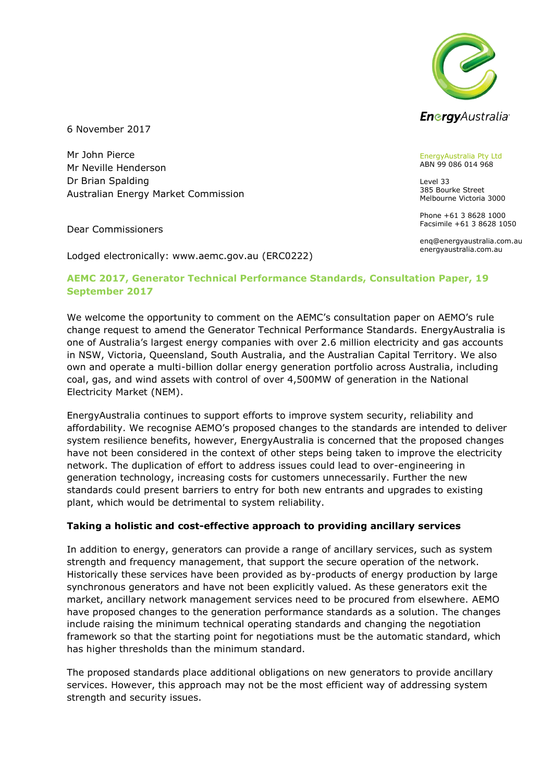

6 November 2017

Mr John Pierce Mr Neville Henderson Dr Brian Spalding Australian Energy Market Commission

Dear Commissioners

Lodged electronically: www.aemc.gov.au (ERC0222)

## **AEMC 2017, Generator Technical Performance Standards, Consultation Paper, 19 September 2017**

We welcome the opportunity to comment on the AEMC's consultation paper on AEMO's rule change request to amend the Generator Technical Performance Standards. EnergyAustralia is one of Australia's largest energy companies with over 2.6 million electricity and gas accounts in NSW, Victoria, Queensland, South Australia, and the Australian Capital Territory. We also own and operate a multi-billion dollar energy generation portfolio across Australia, including coal, gas, and wind assets with control of over 4,500MW of generation in the National Electricity Market (NEM).

EnergyAustralia continues to support efforts to improve system security, reliability and affordability. We recognise AEMO's proposed changes to the standards are intended to deliver system resilience benefits, however, EnergyAustralia is concerned that the proposed changes have not been considered in the context of other steps being taken to improve the electricity network. The duplication of effort to address issues could lead to over-engineering in generation technology, increasing costs for customers unnecessarily. Further the new standards could present barriers to entry for both new entrants and upgrades to existing plant, which would be detrimental to system reliability.

## **Taking a holistic and cost-effective approach to providing ancillary services**

In addition to energy, generators can provide a range of ancillary services, such as system strength and frequency management, that support the secure operation of the network. Historically these services have been provided as by-products of energy production by large synchronous generators and have not been explicitly valued. As these generators exit the market, ancillary network management services need to be procured from elsewhere. AEMO have proposed changes to the generation performance standards as a solution. The changes include raising the minimum technical operating standards and changing the negotiation framework so that the starting point for negotiations must be the automatic standard, which has higher thresholds than the minimum standard.

The proposed standards place additional obligations on new generators to provide ancillary services. However, this approach may not be the most efficient way of addressing system strength and security issues.

EnergyAustralia Pty Ltd ABN 99 086 014 968

Level 33 385 Bourke Street Melbourne Victoria 3000

Phone +61 3 8628 1000 Facsimile +61 3 8628 1050

enq@energyaustralia.com.au energyaustralia.com.au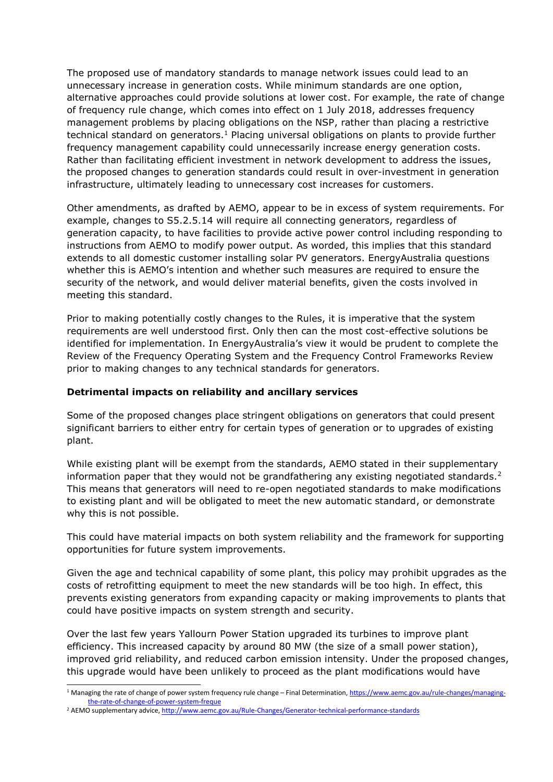The proposed use of mandatory standards to manage network issues could lead to an unnecessary increase in generation costs. While minimum standards are one option, alternative approaches could provide solutions at lower cost. For example, the rate of change of frequency rule change, which comes into effect on 1 July 2018, addresses frequency management problems by placing obligations on the NSP, rather than placing a restrictive technical standard on generators.<sup>1</sup> Placing universal obligations on plants to provide further frequency management capability could unnecessarily increase energy generation costs. Rather than facilitating efficient investment in network development to address the issues, the proposed changes to generation standards could result in over-investment in generation infrastructure, ultimately leading to unnecessary cost increases for customers.

Other amendments, as drafted by AEMO, appear to be in excess of system requirements. For example, changes to S5.2.5.14 will require all connecting generators, regardless of generation capacity, to have facilities to provide active power control including responding to instructions from AEMO to modify power output. As worded, this implies that this standard extends to all domestic customer installing solar PV generators. EnergyAustralia questions whether this is AEMO's intention and whether such measures are required to ensure the security of the network, and would deliver material benefits, given the costs involved in meeting this standard.

Prior to making potentially costly changes to the Rules, it is imperative that the system requirements are well understood first. Only then can the most cost-effective solutions be identified for implementation. In EnergyAustralia's view it would be prudent to complete the Review of the Frequency Operating System and the Frequency Control Frameworks Review prior to making changes to any technical standards for generators.

## **Detrimental impacts on reliability and ancillary services**

Some of the proposed changes place stringent obligations on generators that could present significant barriers to either entry for certain types of generation or to upgrades of existing plant.

While existing plant will be exempt from the standards, AEMO stated in their supplementary information paper that they would not be grandfathering any existing negotiated standards.<sup>2</sup> This means that generators will need to re-open negotiated standards to make modifications to existing plant and will be obligated to meet the new automatic standard, or demonstrate why this is not possible.

This could have material impacts on both system reliability and the framework for supporting opportunities for future system improvements.

Given the age and technical capability of some plant, this policy may prohibit upgrades as the costs of retrofitting equipment to meet the new standards will be too high. In effect, this prevents existing generators from expanding capacity or making improvements to plants that could have positive impacts on system strength and security.

Over the last few years Yallourn Power Station upgraded its turbines to improve plant efficiency. This increased capacity by around 80 MW (the size of a small power station), improved grid reliability, and reduced carbon emission intensity. Under the proposed changes, this upgrade would have been unlikely to proceed as the plant modifications would have

<sup>-</sup><sup>1</sup> Managing the rate of change of power system frequency rule change – Final Determination[, https://www.aemc.gov.au/rule-changes/managing](https://www.aemc.gov.au/rule-changes/managing-the-rate-of-change-of-power-system-freque)[the-rate-of-change-of-power-system-freque](https://www.aemc.gov.au/rule-changes/managing-the-rate-of-change-of-power-system-freque)

<sup>&</sup>lt;sup>2</sup> AEMO supplementary advice[, http://www.aemc.gov.au/Rule-Changes/Generator-technical-performance-standards](http://www.aemc.gov.au/Rule-Changes/Generator-technical-performance-standards)